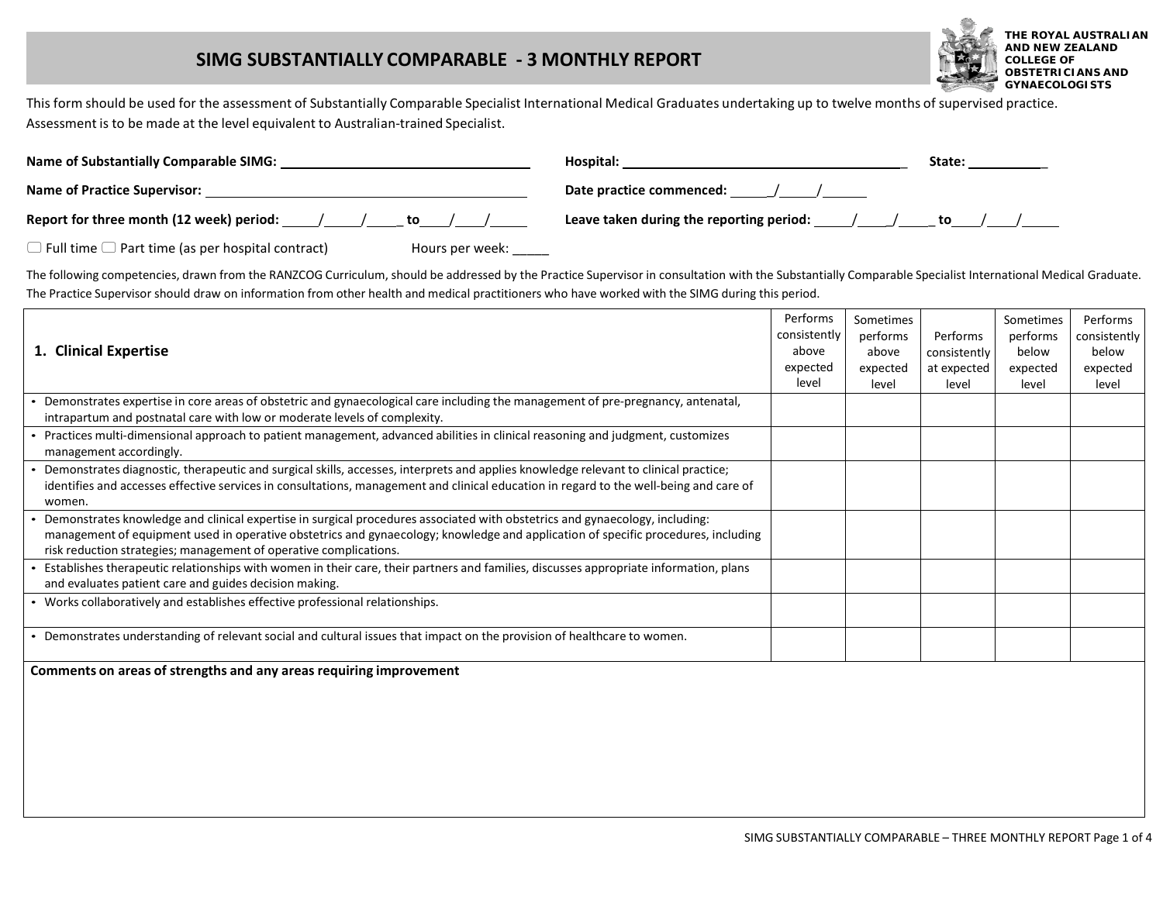

This form should be used for the assessment of Substantially Comparable Specialist International Medical Graduates undertaking up to twelve months of supervised practice. Assessment is to be made at the level equivalent to Australian-trained Specialist.

| <b>Name of Substantially Comparable SIMG:</b>                                                                 | Hospital:<br>State:                                                                     |
|---------------------------------------------------------------------------------------------------------------|-----------------------------------------------------------------------------------------|
| <b>Name of Practice Supervisor:</b>                                                                           | Date practice commenced: $\frac{1}{\sqrt{1-\frac{1}{2}}}$                               |
| Report for three month (12 week) period: $\frac{1}{\sqrt{1-\frac{1}{2}}}$ to $\frac{1}{\sqrt{1-\frac{1}{2}}}$ | Leave taken during the reporting period: $\frac{1}{\sqrt{2}}$ / to $\frac{1}{\sqrt{2}}$ |
| $\Box$ Full time $\Box$ Part time (as per hospital contract)<br>Hours per week:                               |                                                                                         |

The following competencies, drawn from the RANZCOG Curriculum, should be addressed by the Practice Supervisor in consultation with the Substantially Comparable Specialist International Medical Graduate. The Practice Supervisor should draw on information from other health and medical practitioners who have worked with the SIMG during this period.

|                                                                                                                                                                                                 | Performs     | Sometimes |              | Sometimes | Performs     |
|-------------------------------------------------------------------------------------------------------------------------------------------------------------------------------------------------|--------------|-----------|--------------|-----------|--------------|
|                                                                                                                                                                                                 | consistently | performs  | Performs     | performs  | consistently |
| 1. Clinical Expertise                                                                                                                                                                           | above        | above     | consistently | below     | below        |
|                                                                                                                                                                                                 | expected     | expected  | at expected  | expected  | expected     |
|                                                                                                                                                                                                 | level        | level     | level        | level     | level        |
| Demonstrates expertise in core areas of obstetric and gynaecological care including the management of pre-pregnancy, antenatal,                                                                 |              |           |              |           |              |
| intrapartum and postnatal care with low or moderate levels of complexity.                                                                                                                       |              |           |              |           |              |
| • Practices multi-dimensional approach to patient management, advanced abilities in clinical reasoning and judgment, customizes<br>management accordingly.                                      |              |           |              |           |              |
| Demonstrates diagnostic, therapeutic and surgical skills, accesses, interprets and applies knowledge relevant to clinical practice;                                                             |              |           |              |           |              |
| identifies and accesses effective services in consultations, management and clinical education in regard to the well-being and care of<br>women.                                                |              |           |              |           |              |
| Demonstrates knowledge and clinical expertise in surgical procedures associated with obstetrics and gynaecology, including:                                                                     |              |           |              |           |              |
| management of equipment used in operative obstetrics and gynaecology; knowledge and application of specific procedures, including                                                               |              |           |              |           |              |
| risk reduction strategies; management of operative complications.                                                                                                                               |              |           |              |           |              |
| Establishes therapeutic relationships with women in their care, their partners and families, discusses appropriate information, plans<br>and evaluates patient care and guides decision making. |              |           |              |           |              |
| • Works collaboratively and establishes effective professional relationships.                                                                                                                   |              |           |              |           |              |
| Demonstrates understanding of relevant social and cultural issues that impact on the provision of healthcare to women.                                                                          |              |           |              |           |              |
| Comments on areas of strengths and any areas requiring improvement                                                                                                                              |              |           |              |           |              |
|                                                                                                                                                                                                 |              |           |              |           |              |
|                                                                                                                                                                                                 |              |           |              |           |              |
|                                                                                                                                                                                                 |              |           |              |           |              |
|                                                                                                                                                                                                 |              |           |              |           |              |
|                                                                                                                                                                                                 |              |           |              |           |              |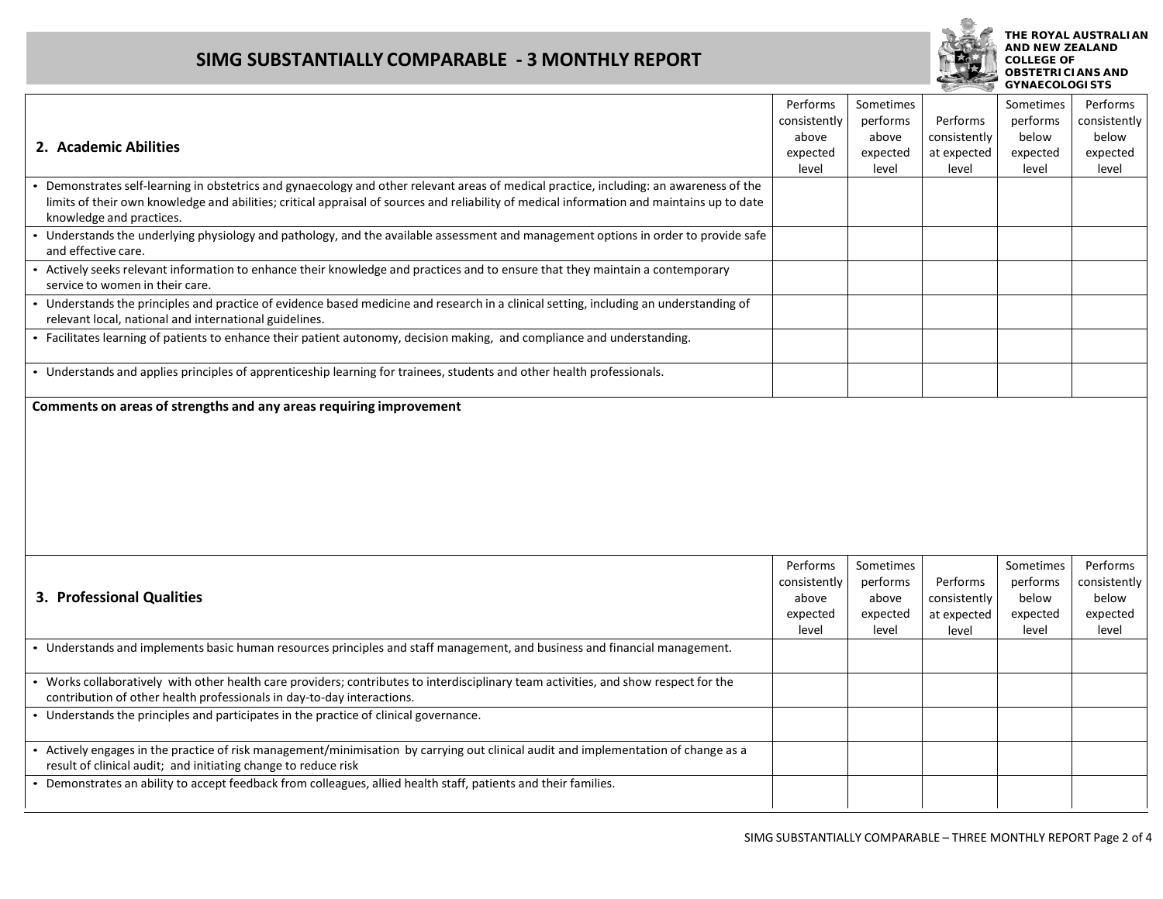

**THE ROYAL AUSTRALIAN AND NEW ZEALAND COLLEGE OF OBSTETRICIANS AND** 

|                                                                                                                                            |              |           | $\frac{1}{2}$ | <b>GYNAECOLOGISTS</b> |              |
|--------------------------------------------------------------------------------------------------------------------------------------------|--------------|-----------|---------------|-----------------------|--------------|
|                                                                                                                                            | Performs     | Sometimes |               | Sometimes             | Performs     |
|                                                                                                                                            | consistently | performs  | Performs      | performs              | consistently |
|                                                                                                                                            | above        | above     | consistently  | below                 | below        |
| 2. Academic Abilities                                                                                                                      | expected     | expected  | at expected   | expected              | expected     |
|                                                                                                                                            | level        | level     | level         | level                 | level        |
| • Demonstrates self-learning in obstetrics and gynaecology and other relevant areas of medical practice, including: an awareness of the    |              |           |               |                       |              |
| limits of their own knowledge and abilities; critical appraisal of sources and reliability of medical information and maintains up to date |              |           |               |                       |              |
|                                                                                                                                            |              |           |               |                       |              |
| knowledge and practices.                                                                                                                   |              |           |               |                       |              |
| • Understands the underlying physiology and pathology, and the available assessment and management options in order to provide safe        |              |           |               |                       |              |
| and effective care.                                                                                                                        |              |           |               |                       |              |
| • Actively seeks relevant information to enhance their knowledge and practices and to ensure that they maintain a contemporary             |              |           |               |                       |              |
| service to women in their care.                                                                                                            |              |           |               |                       |              |
| • Understands the principles and practice of evidence based medicine and research in a clinical setting, including an understanding of     |              |           |               |                       |              |
| relevant local, national and international guidelines.                                                                                     |              |           |               |                       |              |
| • Facilitates learning of patients to enhance their patient autonomy, decision making, and compliance and understanding.                   |              |           |               |                       |              |
|                                                                                                                                            |              |           |               |                       |              |
| • Understands and applies principles of apprenticeship learning for trainees, students and other health professionals.                     |              |           |               |                       |              |
|                                                                                                                                            |              |           |               |                       |              |
| Comments on areas of strengths and any areas requiring improvement                                                                         |              |           |               |                       |              |
|                                                                                                                                            |              |           |               |                       |              |
|                                                                                                                                            | Performs     | Sometimes |               | Sometimes             | Performs     |
|                                                                                                                                            | consistently | performs  | Performs      | performs              | consistently |
| 3. Professional Qualities                                                                                                                  | above        | above     | consistently  | below                 | below        |
|                                                                                                                                            | expected     | expected  | at expected   | expected              | expected     |
|                                                                                                                                            | level        | level     | level         | level                 | level        |
| • Understands and implements basic human resources principles and staff management, and business and financial management.                 |              |           |               |                       |              |
|                                                                                                                                            |              |           |               |                       |              |
| • Works collaboratively with other health care providers; contributes to interdisciplinary team activities, and show respect for the       |              |           |               |                       |              |
| contribution of other health professionals in day-to-day interactions.                                                                     |              |           |               |                       |              |
|                                                                                                                                            |              |           |               |                       |              |
| • Understands the principles and participates in the practice of clinical governance.                                                      |              |           |               |                       |              |
|                                                                                                                                            |              |           |               |                       |              |
| • Actively engages in the practice of risk management/minimisation by carrying out clinical audit and implementation of change as a        |              |           |               |                       |              |
| result of clinical audit; and initiating change to reduce risk                                                                             |              |           |               |                       |              |
| - Demonstrates an ability to accept feedback from colleagues, allied health staff, patients and their families.                            |              |           |               |                       |              |
|                                                                                                                                            |              |           |               |                       |              |
|                                                                                                                                            |              |           |               |                       |              |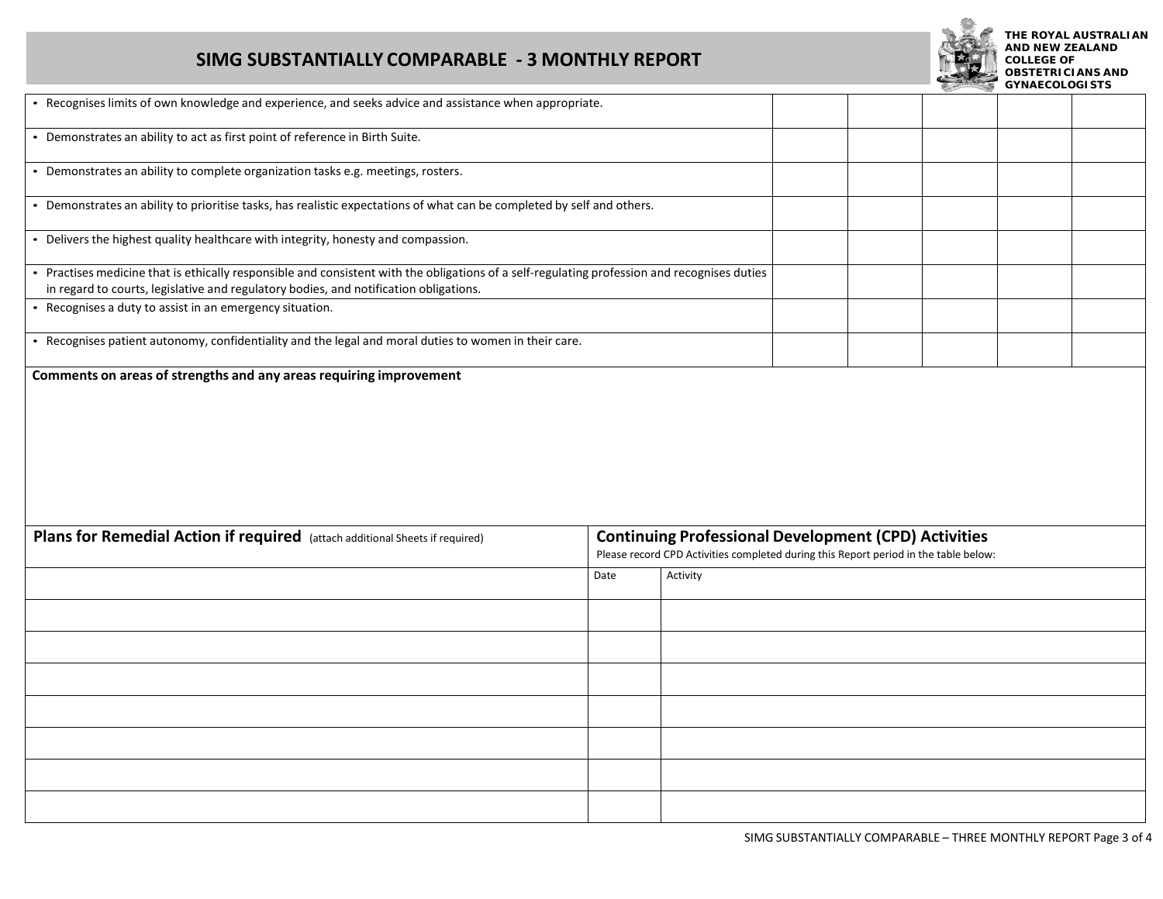

**THE ROYAL AUSTRALIAN AND NEW ZEALAND COLLEGE OF OBSTETRICIANS AND GYNAECOLOGISTS**

|                                                                                                                                                                                                                                       |                                                                                                                                                     |  |  | <b>UTINALUULUULJIJ</b> |  |
|---------------------------------------------------------------------------------------------------------------------------------------------------------------------------------------------------------------------------------------|-----------------------------------------------------------------------------------------------------------------------------------------------------|--|--|------------------------|--|
| - Recognises limits of own knowledge and experience, and seeks advice and assistance when appropriate.                                                                                                                                |                                                                                                                                                     |  |  |                        |  |
| • Demonstrates an ability to act as first point of reference in Birth Suite.                                                                                                                                                          |                                                                                                                                                     |  |  |                        |  |
| • Demonstrates an ability to complete organization tasks e.g. meetings, rosters.                                                                                                                                                      |                                                                                                                                                     |  |  |                        |  |
| • Demonstrates an ability to prioritise tasks, has realistic expectations of what can be completed by self and others.                                                                                                                |                                                                                                                                                     |  |  |                        |  |
| • Delivers the highest quality healthcare with integrity, honesty and compassion.                                                                                                                                                     |                                                                                                                                                     |  |  |                        |  |
| • Practises medicine that is ethically responsible and consistent with the obligations of a self-regulating profession and recognises duties<br>in regard to courts, legislative and regulatory bodies, and notification obligations. |                                                                                                                                                     |  |  |                        |  |
| • Recognises a duty to assist in an emergency situation.                                                                                                                                                                              |                                                                                                                                                     |  |  |                        |  |
| • Recognises patient autonomy, confidentiality and the legal and moral duties to women in their care.                                                                                                                                 |                                                                                                                                                     |  |  |                        |  |
| Comments on areas of strengths and any areas requiring improvement                                                                                                                                                                    |                                                                                                                                                     |  |  |                        |  |
| Plans for Remedial Action if required (attach additional Sheets if required)                                                                                                                                                          | <b>Continuing Professional Development (CPD) Activities</b><br>Please record CPD Activities completed during this Report period in the table below: |  |  |                        |  |

| <b>Plans for Remedial Action If required</b> (attach additional Sheets if required) | Continuing Professional Development (CPD) Activities<br>Please record CPD Activities completed during this Report period in the table below: |          |  |  |
|-------------------------------------------------------------------------------------|----------------------------------------------------------------------------------------------------------------------------------------------|----------|--|--|
|                                                                                     | Date                                                                                                                                         | Activity |  |  |
|                                                                                     |                                                                                                                                              |          |  |  |
|                                                                                     |                                                                                                                                              |          |  |  |
|                                                                                     |                                                                                                                                              |          |  |  |
|                                                                                     |                                                                                                                                              |          |  |  |
|                                                                                     |                                                                                                                                              |          |  |  |
|                                                                                     |                                                                                                                                              |          |  |  |
|                                                                                     |                                                                                                                                              |          |  |  |